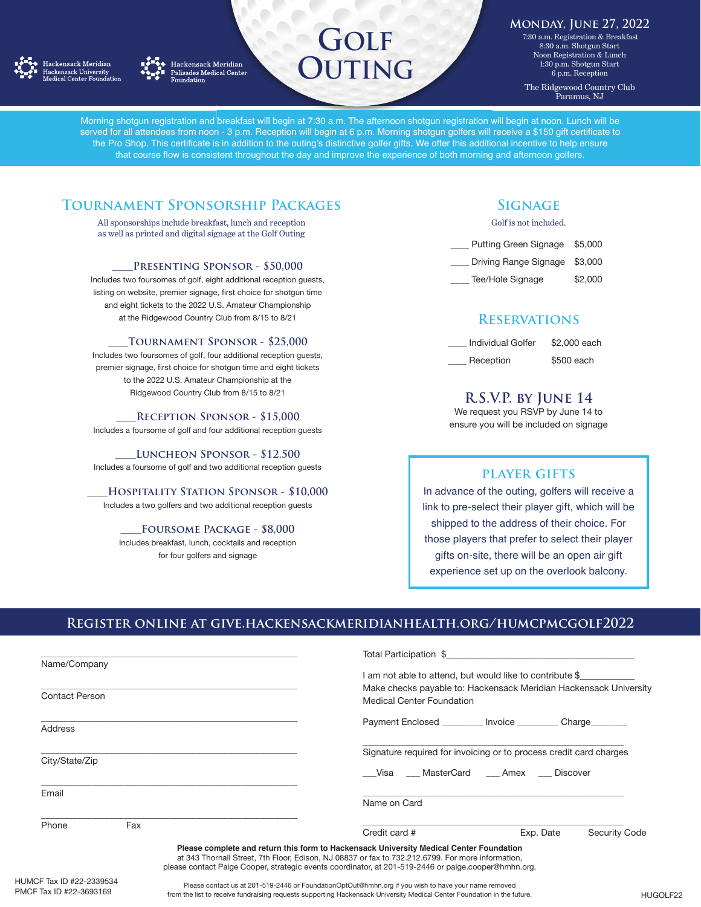



Hackensack Meridian Palisades Medical Center<br>Foundation

# **GOLF JTING**

### **Monday, June 27, 2022**

**11 a** 7:30 a.m. Registration & Breakfast 8:30 a.m. Shotgun Start Noon Registration & Lunch 1:30 p.m. Shotgun Start 6 p.m. Reception The Ridgewood Country Club Paramus, NJ

Morning shotgun registration and breakfast will begin at 7:30 a.m. The afternoon shotgun registration will begin at noon. Lunch will be served for all attendees from noon - 3 p.m. Reception will begin at 6 p.m. Morning shotgun golfers will receive a \$150 gift certificate to the Pro Shop. This certificate is in addition to the outing's distinctive golfer gifts. We offer this additional incentive to help ensure that course flow is consistent throughout the day and improve the experience of both morning and afternoon golfers.

# **Tournament Sponsorship Packages**

All sponsorships include breakfast, lunch and reception as well as printed and digital signage at the Golf Outing

### PRESENTING SPONSOR - \$50,000

Includes two foursomes of golf, eight additional reception guests, listing on website, premier signage, first choice for shotgun time and eight tickets to the 2022 U.S. Amateur Championship at the Ridgewood Country Club from 8/15 to 8/21

### **\_\_\_\_Tournament Sponsor - \$25,000**

Includes two foursomes of golf, four additional reception guests, premier signage, first choice for shotgun time and eight tickets to the 2022 U.S. Amateur Championship at the Ridgewood Country Club from 8/15 to 8/21

**\_\_\_\_Reception Sponsor - \$15,000** 

Includes a foursome of golf and four additional reception guests

### **\_\_\_\_Luncheon Sponsor - \$12,500**

Includes a foursome of golf and two additional reception guests

### **\_\_\_\_Hospitality Station Sponsor - \$10,000**  Includes a two golfers and two additional reception guests

# **\_\_\_\_Foursome Package - \$8,000**

Includes breakfast, lunch, cocktails and reception for four golfers and signage

# **Signage**

### Golf is not included.

- Putting Green Signage \$5,000 Driving Range Signage \$3,000
- Tee/Hole Signage \$2,000

## **Reservations**

| <b>Individual Golfer</b> | \$2,000 each |  |
|--------------------------|--------------|--|
| Reception                | \$500 each   |  |

# **R.S.V.P. by June 14**

We request you RSVP by June 14 to ensure you will be included on signage

### **player gifts**

In advance of the outing, golfers will receive a link to pre-select their player gift, which will be shipped to the address of their choice. For those players that prefer to select their player gifts on-site, there will be an open air gift experience set up on the overlook balcony.

## **Register online at give.hackensackmeridianhealth.org/humcpmcgolf2022**

|                                       |     |                                                                                                                                                                                                                                                                                                      | Total Participation \$                                                                                                                                            |           |                      |
|---------------------------------------|-----|------------------------------------------------------------------------------------------------------------------------------------------------------------------------------------------------------------------------------------------------------------------------------------------------------|-------------------------------------------------------------------------------------------------------------------------------------------------------------------|-----------|----------------------|
| Name/Company<br><b>Contact Person</b> |     |                                                                                                                                                                                                                                                                                                      | I am not able to attend, but would like to contribute \$<br>Make checks payable to: Hackensack Meridian Hackensack University<br><b>Medical Center Foundation</b> |           |                      |
| <b>Address</b>                        |     |                                                                                                                                                                                                                                                                                                      | Payment Enclosed <b>No. 1. Invoice Charge Charge</b>                                                                                                              |           |                      |
| City/State/Zip                        |     |                                                                                                                                                                                                                                                                                                      | Signature required for invoicing or to process credit card charges<br>Visa MasterCard Amex Discover                                                               |           |                      |
| Email                                 |     |                                                                                                                                                                                                                                                                                                      | Name on Card                                                                                                                                                      |           |                      |
| Phone                                 | Fax |                                                                                                                                                                                                                                                                                                      | Credit card #                                                                                                                                                     | Exp. Date | <b>Security Code</b> |
|                                       |     | Please complete and return this form to Hackensack University Medical Center Foundation<br>at 343 Thornall Street, 7th Floor, Edison, NJ 08837 or fax to 732.212.6799. For more information,<br>please contact Paige Cooper, strategic events coordinator, at 201-519-2446 or paige cooper@hmhn.org. |                                                                                                                                                                   |           |                      |
| F Tay IN #99_9330534                  |     |                                                                                                                                                                                                                                                                                                      |                                                                                                                                                                   |           |                      |

Please contact us at 201-519-2446 or FoundationOptOut@hmhn.org if you wish to have your name removed from the list to receive fundraising requests supporting Hackensack University Medical Center Foundation in the future. HUGOLF22